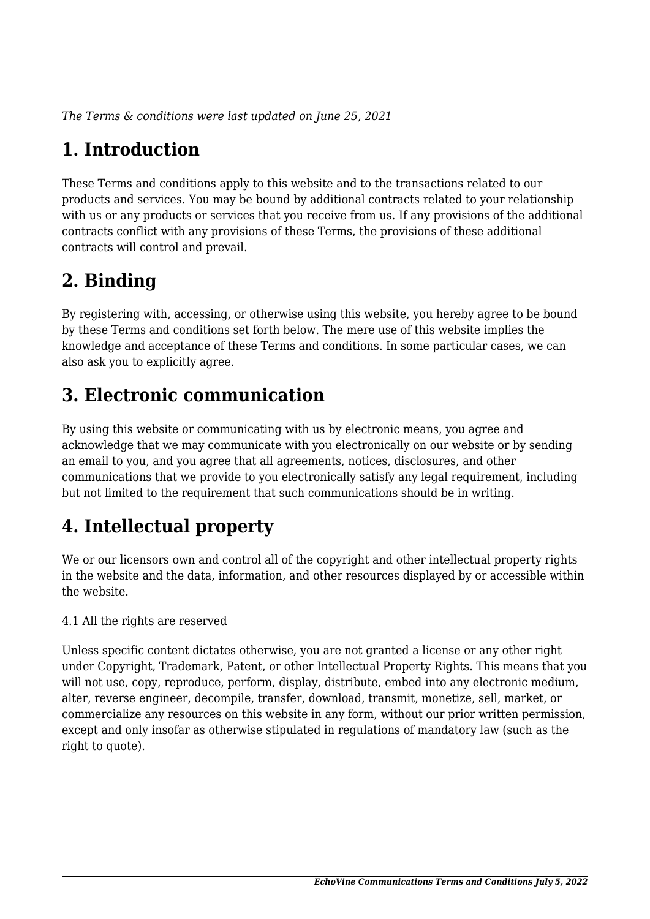*The Terms & conditions were last updated on June 25, 2021*

# **1. Introduction**

These Terms and conditions apply to this website and to the transactions related to our products and services. You may be bound by additional contracts related to your relationship with us or any products or services that you receive from us. If any provisions of the additional contracts conflict with any provisions of these Terms, the provisions of these additional contracts will control and prevail.

# **2. Binding**

By registering with, accessing, or otherwise using this website, you hereby agree to be bound by these Terms and conditions set forth below. The mere use of this website implies the knowledge and acceptance of these Terms and conditions. In some particular cases, we can also ask you to explicitly agree.

# **3. Electronic communication**

By using this website or communicating with us by electronic means, you agree and acknowledge that we may communicate with you electronically on our website or by sending an email to you, and you agree that all agreements, notices, disclosures, and other communications that we provide to you electronically satisfy any legal requirement, including but not limited to the requirement that such communications should be in writing.

# **4. Intellectual property**

We or our licensors own and control all of the copyright and other intellectual property rights in the website and the data, information, and other resources displayed by or accessible within the website.

4.1 All the rights are reserved

Unless specific content dictates otherwise, you are not granted a license or any other right under Copyright, Trademark, Patent, or other Intellectual Property Rights. This means that you will not use, copy, reproduce, perform, display, distribute, embed into any electronic medium, alter, reverse engineer, decompile, transfer, download, transmit, monetize, sell, market, or commercialize any resources on this website in any form, without our prior written permission, except and only insofar as otherwise stipulated in regulations of mandatory law (such as the right to quote).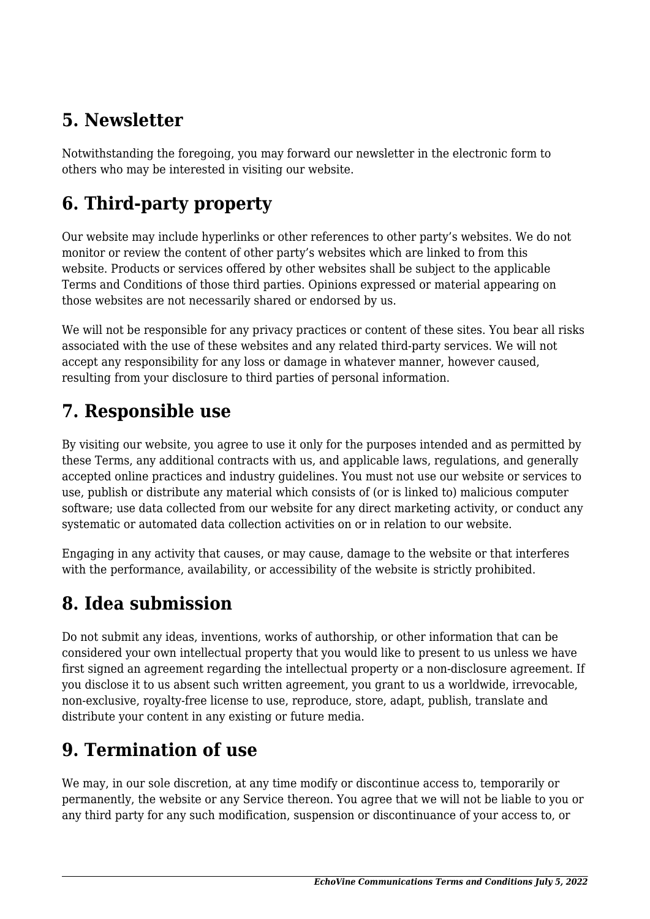# **5. Newsletter**

Notwithstanding the foregoing, you may forward our newsletter in the electronic form to others who may be interested in visiting our website.

# **6. Third-party property**

Our website may include hyperlinks or other references to other party's websites. We do not monitor or review the content of other party's websites which are linked to from this website. Products or services offered by other websites shall be subject to the applicable Terms and Conditions of those third parties. Opinions expressed or material appearing on those websites are not necessarily shared or endorsed by us.

We will not be responsible for any privacy practices or content of these sites. You bear all risks associated with the use of these websites and any related third-party services. We will not accept any responsibility for any loss or damage in whatever manner, however caused, resulting from your disclosure to third parties of personal information.

### **7. Responsible use**

By visiting our website, you agree to use it only for the purposes intended and as permitted by these Terms, any additional contracts with us, and applicable laws, regulations, and generally accepted online practices and industry guidelines. You must not use our website or services to use, publish or distribute any material which consists of (or is linked to) malicious computer software; use data collected from our website for any direct marketing activity, or conduct any systematic or automated data collection activities on or in relation to our website.

Engaging in any activity that causes, or may cause, damage to the website or that interferes with the performance, availability, or accessibility of the website is strictly prohibited.

# **8. Idea submission**

Do not submit any ideas, inventions, works of authorship, or other information that can be considered your own intellectual property that you would like to present to us unless we have first signed an agreement regarding the intellectual property or a non-disclosure agreement. If you disclose it to us absent such written agreement, you grant to us a worldwide, irrevocable, non-exclusive, royalty-free license to use, reproduce, store, adapt, publish, translate and distribute your content in any existing or future media.

# **9. Termination of use**

We may, in our sole discretion, at any time modify or discontinue access to, temporarily or permanently, the website or any Service thereon. You agree that we will not be liable to you or any third party for any such modification, suspension or discontinuance of your access to, or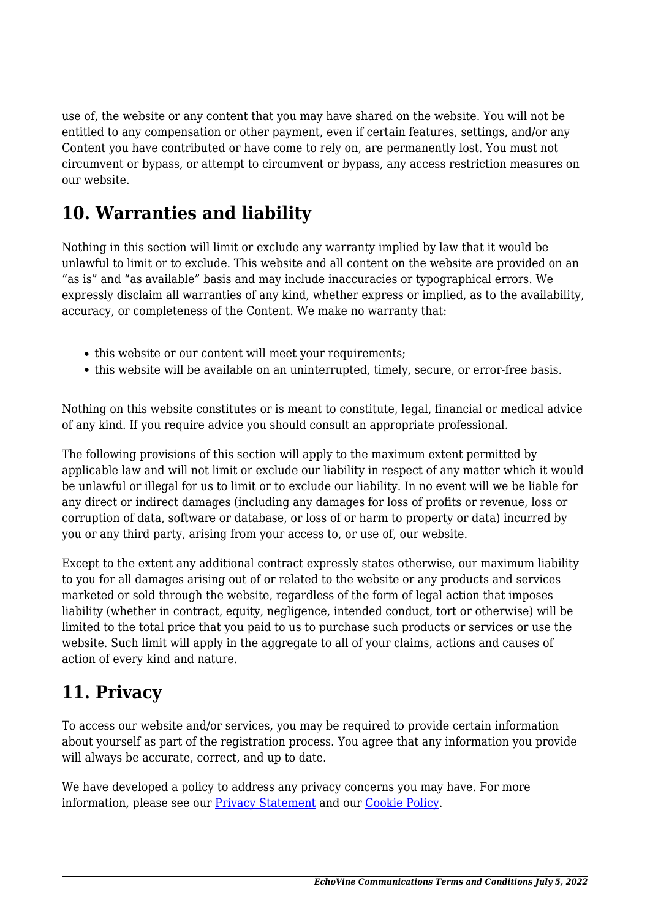use of, the website or any content that you may have shared on the website. You will not be entitled to any compensation or other payment, even if certain features, settings, and/or any Content you have contributed or have come to rely on, are permanently lost. You must not circumvent or bypass, or attempt to circumvent or bypass, any access restriction measures on our website.

### **10. Warranties and liability**

Nothing in this section will limit or exclude any warranty implied by law that it would be unlawful to limit or to exclude. This website and all content on the website are provided on an "as is" and "as available" basis and may include inaccuracies or typographical errors. We expressly disclaim all warranties of any kind, whether express or implied, as to the availability, accuracy, or completeness of the Content. We make no warranty that:

- this website or our content will meet your requirements;
- this website will be available on an uninterrupted, timely, secure, or error-free basis.

Nothing on this website constitutes or is meant to constitute, legal, financial or medical advice of any kind. If you require advice you should consult an appropriate professional.

The following provisions of this section will apply to the maximum extent permitted by applicable law and will not limit or exclude our liability in respect of any matter which it would be unlawful or illegal for us to limit or to exclude our liability. In no event will we be liable for any direct or indirect damages (including any damages for loss of profits or revenue, loss or corruption of data, software or database, or loss of or harm to property or data) incurred by you or any third party, arising from your access to, or use of, our website.

Except to the extent any additional contract expressly states otherwise, our maximum liability to you for all damages arising out of or related to the website or any products and services marketed or sold through the website, regardless of the form of legal action that imposes liability (whether in contract, equity, negligence, intended conduct, tort or otherwise) will be limited to the total price that you paid to us to purchase such products or services or use the website. Such limit will apply in the aggregate to all of your claims, actions and causes of action of every kind and nature.

### **11. Privacy**

To access our website and/or services, you may be required to provide certain information about yourself as part of the registration process. You agree that any information you provide will always be accurate, correct, and up to date.

We have developed a policy to address any privacy concerns you may have. For more information, please see our **Privacy Statement** and our **[Cookie Policy](https://echovine.co.za/cookie-policy/)**.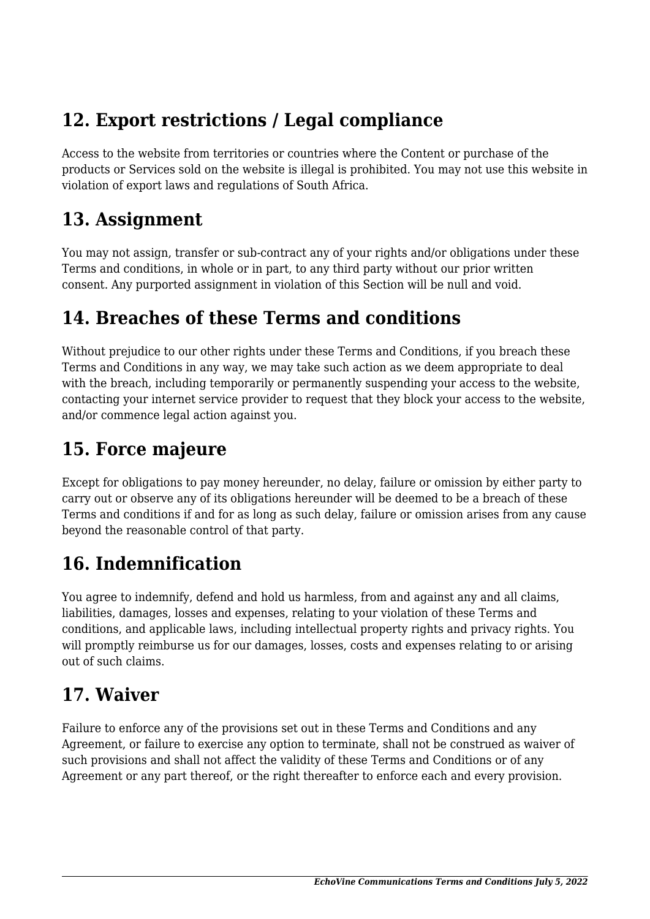# **12. Export restrictions / Legal compliance**

Access to the website from territories or countries where the Content or purchase of the products or Services sold on the website is illegal is prohibited. You may not use this website in violation of export laws and regulations of South Africa.

#### **13. Assignment**

You may not assign, transfer or sub-contract any of your rights and/or obligations under these Terms and conditions, in whole or in part, to any third party without our prior written consent. Any purported assignment in violation of this Section will be null and void.

### **14. Breaches of these Terms and conditions**

Without prejudice to our other rights under these Terms and Conditions, if you breach these Terms and Conditions in any way, we may take such action as we deem appropriate to deal with the breach, including temporarily or permanently suspending your access to the website, contacting your internet service provider to request that they block your access to the website, and/or commence legal action against you.

### **15. Force majeure**

Except for obligations to pay money hereunder, no delay, failure or omission by either party to carry out or observe any of its obligations hereunder will be deemed to be a breach of these Terms and conditions if and for as long as such delay, failure or omission arises from any cause beyond the reasonable control of that party.

# **16. Indemnification**

You agree to indemnify, defend and hold us harmless, from and against any and all claims, liabilities, damages, losses and expenses, relating to your violation of these Terms and conditions, and applicable laws, including intellectual property rights and privacy rights. You will promptly reimburse us for our damages, losses, costs and expenses relating to or arising out of such claims.

# **17. Waiver**

Failure to enforce any of the provisions set out in these Terms and Conditions and any Agreement, or failure to exercise any option to terminate, shall not be construed as waiver of such provisions and shall not affect the validity of these Terms and Conditions or of any Agreement or any part thereof, or the right thereafter to enforce each and every provision.